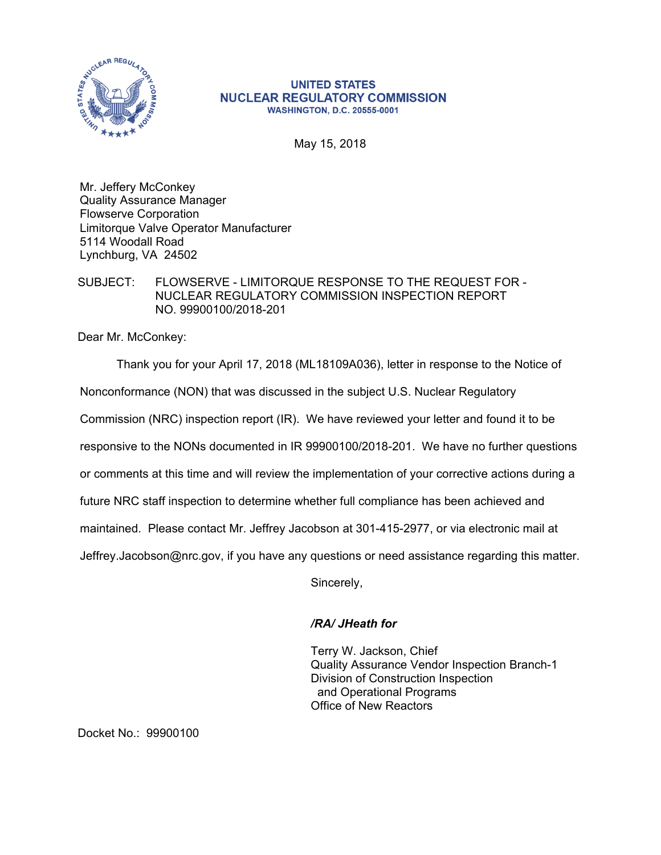

## **UNITED STATES NUCLEAR REGULATORY COMMISSION WASHINGTON, D.C. 20555-0001**

May 15, 2018

Mr. Jeffery McConkey Quality Assurance Manager Flowserve Corporation Limitorque Valve Operator Manufacturer 5114 Woodall Road Lynchburg, VA 24502

## SUBJECT: FLOWSERVE - LIMITORQUE RESPONSE TO THE REQUEST FOR - NUCLEAR REGULATORY COMMISSION INSPECTION REPORT NO. 99900100/2018-201

Dear Mr. McConkey:

Thank you for your April 17, 2018 (ML18109A036), letter in response to the Notice of Nonconformance (NON) that was discussed in the subject U.S. Nuclear Regulatory Commission (NRC) inspection report (IR). We have reviewed your letter and found it to be responsive to the NONs documented in IR 99900100/2018-201. We have no further questions or comments at this time and will review the implementation of your corrective actions during a future NRC staff inspection to determine whether full compliance has been achieved and maintained. Please contact Mr. Jeffrey Jacobson at 301-415-2977, or via electronic mail at Jeffrey.Jacobson@nrc.gov, if you have any questions or need assistance regarding this matter.

Sincerely,

## */RA/ JHeath for*

Terry W. Jackson, Chief Quality Assurance Vendor Inspection Branch-1 Division of Construction Inspection and Operational Programs Office of New Reactors

Docket No.: 99900100